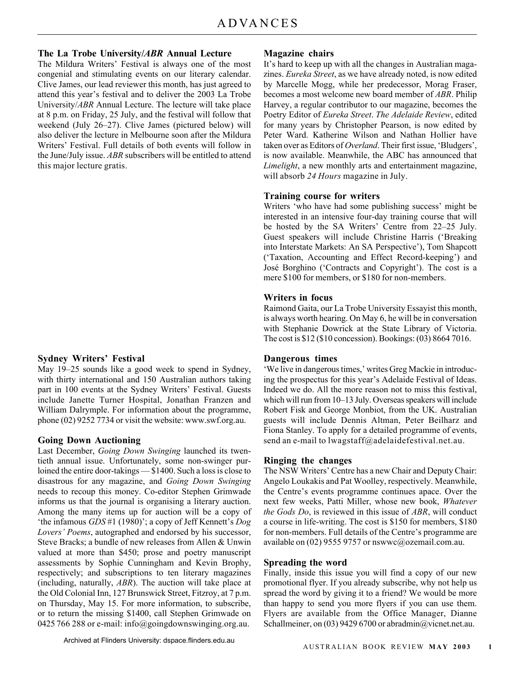### **The La Trobe University/***ABR* **Annual Lecture**

The Mildura Writers' Festival is always one of the most congenial and stimulating events on our literary calendar. Clive James, our lead reviewer this month, has just agreed to attend this year's festival and to deliver the 2003 La Trobe University/*ABR* Annual Lecture. The lecture will take place at 8 p.m. on Friday, 25 July, and the festival will follow that weekend (July 26–27). Clive James (pictured below) will also deliver the lecture in Melbourne soon after the Mildura Writers' Festival. Full details of both events will follow in the June/July issue. *ABR* subscribers will be entitled to attend this major lecture gratis.

### **Sydney Writers' Festival**

May 19–25 sounds like a good week to spend in Sydney, with thirty international and 150 Australian authors taking part in 100 events at the Sydney Writers' Festival. Guests include Janette Turner Hospital, Jonathan Franzen and William Dalrymple. For information about the programme, phone (02) 9252 7734 or visit the website: www.swf.org.au.

### **Going Down Auctioning**

Last December, *Going Down Swinging* launched its twentieth annual issue. Unfortunately, some non-swinger purloined the entire door-takings — \$1400. Such a loss is close to disastrous for any magazine, and *Going Down Swinging* needs to recoup this money. Co-editor Stephen Grimwade informs us that the journal is organising a literary auction. Among the many items up for auction will be a copy of 'the infamous *GDS* #1 (1980)'; a copy of Jeff Kennett's *Dog Lovers' Poems*, autographed and endorsed by his successor, Steve Bracks; a bundle of new releases from Allen & Unwin valued at more than \$450; prose and poetry manuscript assessments by Sophie Cunningham and Kevin Brophy, respectively; and subscriptions to ten literary magazines (including, naturally, *ABR*). The auction will take place at the Old Colonial Inn, 127 Brunswick Street, Fitzroy, at 7 p.m. on Thursday, May 15. For more information, to subscribe, or to return the missing \$1400, call Stephen Grimwade on 0425 766 288 or e-mail: info@goingdownswinging.org.au.

### **Magazine chairs**

It's hard to keep up with all the changes in Australian magazines. *Eureka Street*, as we have already noted, is now edited by Marcelle Mogg, while her predecessor, Morag Fraser, becomes a most welcome new board member of *ABR*. Philip Harvey, a regular contributor to our magazine, becomes the Poetry Editor of *Eureka Street*. *The Adelaide Review*, edited for many years by Christopher Pearson, is now edited by Peter Ward. Katherine Wilson and Nathan Hollier have taken over as Editors of *Overland*. Their first issue, 'Bludgers', is now available. Meanwhile, the ABC has announced that *Limelight*, a new monthly arts and entertainment magazine, will absorb *24 Hours* magazine in July.

### **Training course for writers**

Writers 'who have had some publishing success' might be interested in an intensive four-day training course that will be hosted by the SA Writers' Centre from 22–25 July. Guest speakers will include Christine Harris ('Breaking into Interstate Markets: An SA Perspective'), Tom Shapcott ('Taxation, Accounting and Effect Record-keeping') and José Borghino ('Contracts and Copyright'). The cost is a mere \$100 for members, or \$180 for non-members.

### **Writers in focus**

Raimond Gaita, our La Trobe University Essayist this month, is always worth hearing. On May 6, he will be in conversation with Stephanie Dowrick at the State Library of Victoria. The cost is \$12 (\$10 concession). Bookings: (03) 8664 7016.

### **Dangerous times**

'We live in dangerous times,' writes Greg Mackie in introducing the prospectus for this year's Adelaide Festival of Ideas. Indeed we do. All the more reason not to miss this festival, which will run from 10–13 July. Overseas speakers will include Robert Fisk and George Monbiot, from the UK. Australian guests will include Dennis Altman, Peter Beilharz and Fiona Stanley. To apply for a detailed programme of events, send an e-mail to lwagstaff@adelaidefestival.net.au.

### **Ringing the changes**

The NSW Writers' Centre has a new Chair and Deputy Chair: Angelo Loukakis and Pat Woolley, respectively. Meanwhile, the Centre's events programme continues apace. Over the next few weeks, Patti Miller, whose new book, *Whatever the Gods Do*, is reviewed in this issue of *ABR*, will conduct a course in life-writing. The cost is \$150 for members, \$180 for non-members. Full details of the Centre's programme are available on (02) 9555 9757 or nswwc@ozemail.com.au.

### **Spreading the word**

Finally, inside this issue you will find a copy of our new promotional flyer. If you already subscribe, why not help us spread the word by giving it to a friend? We would be more than happy to send you more flyers if you can use them. Flyers are available from the Office Manager, Dianne Schallmeiner, on (03) 9429 6700 or abradmin@vicnet.net.au.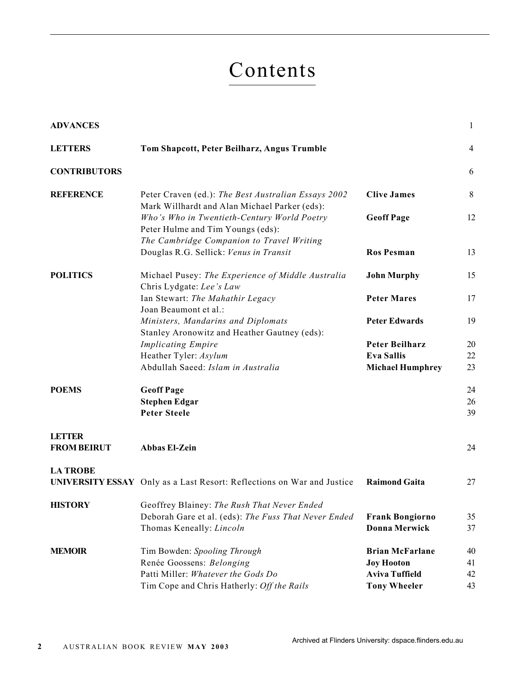# Contents

| <b>ADVANCES</b>                     |                                                                                                      |                                                | $\mathbf{1}$   |
|-------------------------------------|------------------------------------------------------------------------------------------------------|------------------------------------------------|----------------|
| <b>LETTERS</b>                      | Tom Shapcott, Peter Beilharz, Angus Trumble                                                          |                                                | $\overline{4}$ |
| <b>CONTRIBUTORS</b>                 |                                                                                                      |                                                | 6              |
| <b>REFERENCE</b>                    | Peter Craven (ed.): The Best Australian Essays 2002<br>Mark Willhardt and Alan Michael Parker (eds): | <b>Clive James</b>                             | 8              |
|                                     | Who's Who in Twentieth-Century World Poetry<br>Peter Hulme and Tim Youngs (eds):                     | <b>Geoff Page</b>                              | 12             |
|                                     | The Cambridge Companion to Travel Writing<br>Douglas R.G. Sellick: Venus in Transit                  | <b>Ros Pesman</b>                              | 13             |
| <b>POLITICS</b>                     | Michael Pusey: The Experience of Middle Australia<br>Chris Lydgate: Lee's Law                        | <b>John Murphy</b>                             | 15             |
|                                     | Ian Stewart: The Mahathir Legacy<br>Joan Beaumont et al.:                                            | <b>Peter Mares</b>                             | 17             |
|                                     | Ministers, Mandarins and Diplomats<br>Stanley Aronowitz and Heather Gautney (eds):                   | <b>Peter Edwards</b>                           | 19             |
|                                     | <b>Implicating Empire</b>                                                                            | <b>Peter Beilharz</b>                          | 20             |
|                                     | Heather Tyler: Asylum                                                                                | <b>Eva Sallis</b>                              | 22             |
|                                     | Abdullah Saeed: Islam in Australia                                                                   | <b>Michael Humphrey</b>                        | 23             |
| <b>POEMS</b>                        | <b>Geoff Page</b>                                                                                    |                                                | 24             |
|                                     | <b>Stephen Edgar</b>                                                                                 |                                                | 26             |
|                                     | <b>Peter Steele</b>                                                                                  |                                                | 39             |
| <b>LETTER</b><br><b>FROM BEIRUT</b> | <b>Abbas El-Zein</b>                                                                                 |                                                | 24             |
| <b>LA TROBE</b>                     |                                                                                                      |                                                |                |
|                                     | <b>UNIVERSITY ESSAY</b> Only as a Last Resort: Reflections on War and Justice                        | <b>Raimond Gaita</b>                           | 27             |
| <b>HISTORY</b>                      | Geoffrey Blainey: The Rush That Never Ended                                                          |                                                |                |
|                                     | Deborah Gare et al. (eds): The Fuss That Never Ended<br>Thomas Keneally: Lincoln                     | <b>Frank Bongiorno</b><br><b>Donna Merwick</b> | 35<br>37       |
| <b>MEMOIR</b>                       | Tim Bowden: Spooling Through                                                                         | <b>Brian McFarlane</b>                         | 40             |
|                                     | Renée Goossens: Belonging                                                                            | <b>Joy Hooton</b>                              | 41             |
|                                     | Patti Miller: Whatever the Gods Do                                                                   | <b>Aviva Tuffield</b>                          | 42             |
|                                     | Tim Cope and Chris Hatherly: Off the Rails                                                           | <b>Tony Wheeler</b>                            | 43             |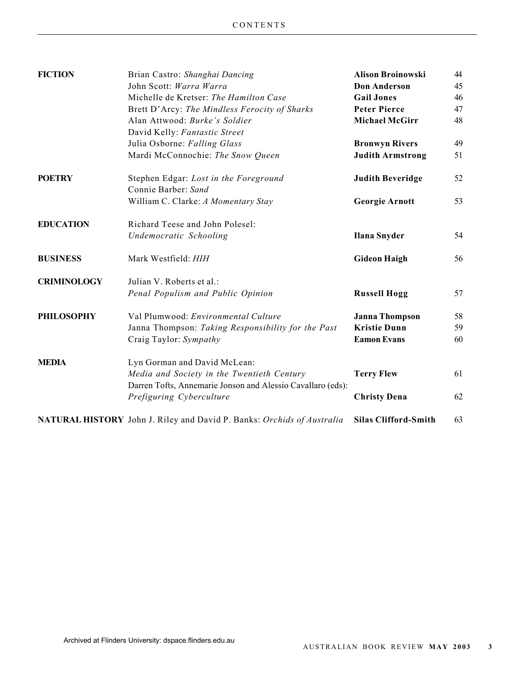| Brian Castro: Shanghai Dancing                     | <b>Alison Broinowski</b>                                                                                                              | 44                          |
|----------------------------------------------------|---------------------------------------------------------------------------------------------------------------------------------------|-----------------------------|
| John Scott: Warra Warra                            | <b>Don Anderson</b>                                                                                                                   | 45                          |
| Michelle de Kretser: The Hamilton Case             | <b>Gail Jones</b>                                                                                                                     | 46                          |
| Brett D'Arcy: The Mindless Ferocity of Sharks      | <b>Peter Pierce</b>                                                                                                                   | 47                          |
| Alan Attwood: Burke's Soldier                      | <b>Michael McGirr</b>                                                                                                                 | 48                          |
| David Kelly: Fantastic Street                      |                                                                                                                                       |                             |
| Julia Osborne: Falling Glass                       | <b>Bronwyn Rivers</b>                                                                                                                 | 49                          |
| Mardi McConnochie: The Snow Queen                  | <b>Judith Armstrong</b>                                                                                                               | 51                          |
| Stephen Edgar: Lost in the Foreground              | <b>Judith Beveridge</b>                                                                                                               | 52                          |
| Connie Barber: Sand                                |                                                                                                                                       |                             |
| William C. Clarke: A Momentary Stay                | <b>Georgie Arnott</b>                                                                                                                 | 53                          |
| Richard Teese and John Polesel:                    |                                                                                                                                       |                             |
| Undemocratic Schooling                             | <b>Ilana Snyder</b>                                                                                                                   | 54                          |
| Mark Westfield: HIH                                | <b>Gideon Haigh</b>                                                                                                                   | 56                          |
| Julian V. Roberts et al.:                          |                                                                                                                                       |                             |
| Penal Populism and Public Opinion                  | <b>Russell Hogg</b>                                                                                                                   | 57                          |
| Val Plumwood: Environmental Culture                | <b>Janna Thompson</b>                                                                                                                 | 58                          |
| Janna Thompson: Taking Responsibility for the Past | <b>Kristie Dunn</b>                                                                                                                   | 59                          |
| Craig Taylor: Sympathy                             | <b>Eamon Evans</b>                                                                                                                    | 60                          |
| Lyn Gorman and David McLean:                       |                                                                                                                                       |                             |
| Media and Society in the Twentieth Century         | <b>Terry Flew</b>                                                                                                                     | 61                          |
| Prefiguring Cyberculture                           | <b>Christy Dena</b>                                                                                                                   | 62                          |
|                                                    |                                                                                                                                       | 63                          |
|                                                    | Darren Tofts, Annemarie Jonson and Alessio Cavallaro (eds):<br>NATURAL HISTORY John J. Riley and David P. Banks: Orchids of Australia | <b>Silas Clifford-Smith</b> |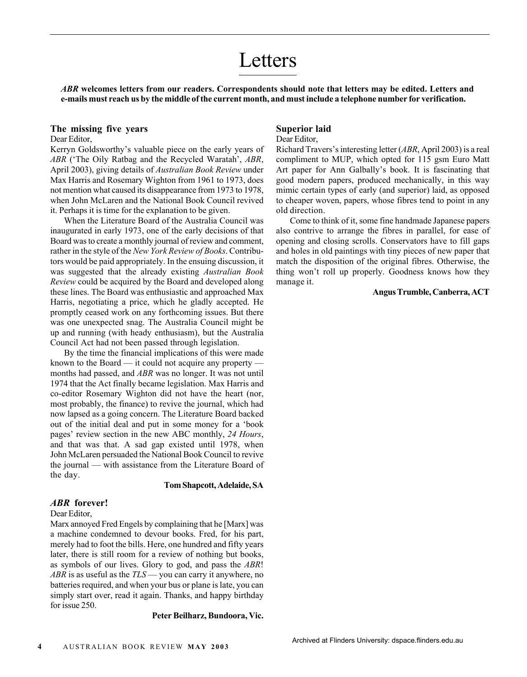### Letters

*ABR* **welcomes letters from our readers. Correspondents should note that letters may be edited. Letters and e-mails must reach us by the middle of the current month, and must include a telephone number for verification.**

### **The missing five years**

### Dear Editor,

Kerryn Goldsworthy's valuable piece on the early years of *ABR* ('The Oily Ratbag and the Recycled Waratah', *ABR*, April 2003), giving details of *Australian Book Review* under Max Harris and Rosemary Wighton from 1961 to 1973, does not mention what caused its disappearance from 1973 to 1978, when John McLaren and the National Book Council revived it. Perhaps it is time for the explanation to be given.

When the Literature Board of the Australia Council was inaugurated in early 1973, one of the early decisions of that Board was to create a monthly journal of review and comment, rather in the style of the *New York Review of Books*. Contributors would be paid appropriately. In the ensuing discussion, it was suggested that the already existing *Australian Book Review* could be acquired by the Board and developed along these lines. The Board was enthusiastic and approached Max Harris, negotiating a price, which he gladly accepted. He promptly ceased work on any forthcoming issues. But there was one unexpected snag. The Australia Council might be up and running (with heady enthusiasm), but the Australia Council Act had not been passed through legislation.

By the time the financial implications of this were made known to the Board — it could not acquire any property months had passed, and *ABR* was no longer. It was not until 1974 that the Act finally became legislation. Max Harris and co-editor Rosemary Wighton did not have the heart (nor, most probably, the finance) to revive the journal, which had now lapsed as a going concern. The Literature Board backed out of the initial deal and put in some money for a 'book pages' review section in the new ABC monthly, *24 Hours*, and that was that. A sad gap existed until 1978, when John McLaren persuaded the National Book Council to revive the journal — with assistance from the Literature Board of the day.

### **Tom Shapcott, Adelaide, SA**

### *ABR* **forever!**

### Dear Editor,

Marx annoyed Fred Engels by complaining that he [Marx] was a machine condemned to devour books. Fred, for his part, merely had to foot the bills. Here, one hundred and fifty years later, there is still room for a review of nothing but books, as symbols of our lives. Glory to god, and pass the *ABR*! *ABR* is as useful as the *TLS* — you can carry it anywhere, no batteries required, and when your bus or plane is late, you can simply start over, read it again. Thanks, and happy birthday for issue 250.

**Peter Beilharz, Bundoora, Vic.**

### **Superior laid**

### Dear Editor,

Richard Travers's interesting letter (*ABR*, April 2003) is a real compliment to MUP, which opted for 115 gsm Euro Matt Art paper for Ann Galbally's book. It is fascinating that good modern papers, produced mechanically, in this way mimic certain types of early (and superior) laid, as opposed to cheaper woven, papers, whose fibres tend to point in any old direction.

Come to think of it, some fine handmade Japanese papers also contrive to arrange the fibres in parallel, for ease of opening and closing scrolls. Conservators have to fill gaps and holes in old paintings with tiny pieces of new paper that match the disposition of the original fibres. Otherwise, the thing won't roll up properly. Goodness knows how they manage it.

### **Angus Trumble, Canberra, ACT**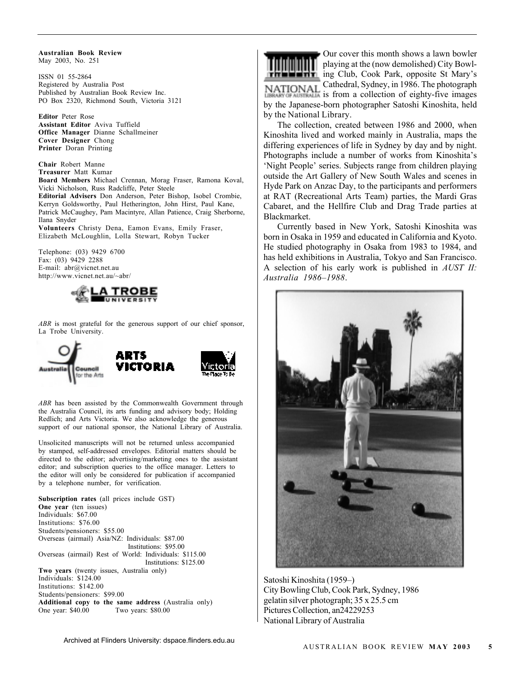**Australian Book Review** May 2003, No. 251

ISSN 01 55-2864 Registered by Australia Post Published by Australian Book Review Inc. PO Box 2320, Richmond South, Victoria 3121

**Editor** Peter Rose **Assistant Editor** Aviva Tuffield **Office Manager** Dianne Schallmeiner **Cover Designer** Chong **Printer** Doran Printing

**Chair** Robert Manne **Treasurer** Matt Kumar **Board Members** Michael Crennan, Morag Fraser, Ramona Koval, Vicki Nicholson, Russ Radcliffe, Peter Steele **Editorial Advisers** Don Anderson, Peter Bishop, Isobel Crombie, Kerryn Goldsworthy, Paul Hetherington, John Hirst, Paul Kane, Patrick McCaughey, Pam Macintyre, Allan Patience, Craig Sherborne, Ilana Snyder

**Volunteers** Christy Dena, Eamon Evans, Emily Fraser, Elizabeth McLoughlin, Lolla Stewart, Robyn Tucker

Telephone: (03) 9429 6700 Fax:  $(03)$  9429 2288 E-mail: abr@vicnet.net.au http://www.vicnet.net.au/~abr/



*ABR* is most grateful for the generous support of our chief sponsor, La Trobe University.



*ABR* has been assisted by the Commonwealth Government through the Australia Council, its arts funding and advisory body; Holding Redlich; and Arts Victoria. We also acknowledge the generous support of our national sponsor, the National Library of Australia.

Unsolicited manuscripts will not be returned unless accompanied by stamped, self-addressed envelopes. Editorial matters should be directed to the editor; advertising/marketing ones to the assistant editor; and subscription queries to the office manager. Letters to the editor will only be considered for publication if accompanied by a telephone number, for verification.

**Subscription rates** (all prices include GST) **One year** (ten issues) Individuals: \$67.00 Institutions: \$76.00 Students/pensioners: \$55.00 Overseas (airmail) Asia/NZ: Individuals: \$87.00 Institutions: \$95.00 Overseas (airmail) Rest of World: Individuals: \$115.00 Institutions: \$125.00 **Two years** (twenty issues, Australia only) Individuals: \$124.00 Institutions: \$142.00 Students/pensioners: \$99.00 **Additional copy to the same address** (Australia only) One year: \$40.00 Two years: \$80.00



Our cover this month shows a lawn bowler playing at the (now demolished) City Bowl**ing Club, Cook Park, opposite St Mary's** Cathedral, Sydney, in 1986. The photograph is from a collection of eighty-five images by the Japanese-born photographer Satoshi Kinoshita, held by the National Library.

The collection, created between 1986 and 2000, when Kinoshita lived and worked mainly in Australia, maps the differing experiences of life in Sydney by day and by night. Photographs include a number of works from Kinoshita's 'Night People' series. Subjects range from children playing outside the Art Gallery of New South Wales and scenes in Hyde Park on Anzac Day, to the participants and performers at RAT (Recreational Arts Team) parties, the Mardi Gras Cabaret, and the Hellfire Club and Drag Trade parties at Blackmarket.

Currently based in New York, Satoshi Kinoshita was born in Osaka in 1959 and educated in California and Kyoto. He studied photography in Osaka from 1983 to 1984, and has held exhibitions in Australia, Tokyo and San Francisco. A selection of his early work is published in *AUST II: Australia 1986–1988*.



Satoshi Kinoshita (1959–) City Bowling Club, Cook Park, Sydney, 1986 gelatin silver photograph; 35 x 25.5 cm Pictures Collection, an24229253 National Library of Australia